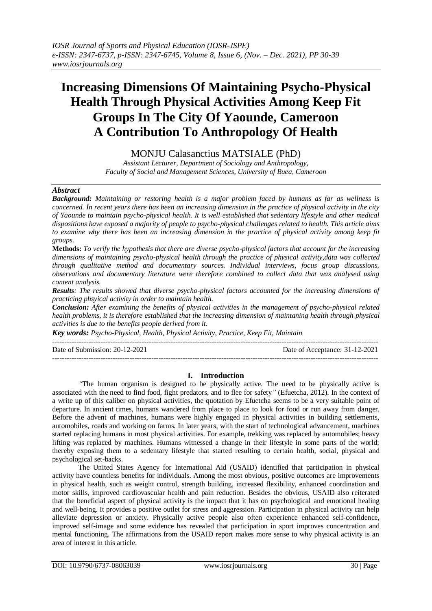# **Increasing Dimensions Of Maintaining Psycho-Physical Health Through Physical Activities Among Keep Fit Groups In The City Of Yaounde, Cameroon A Contribution To Anthropology Of Health**

# MONJU Calasanctius MATSIALE (PhD)

*Assistant Lecturer, Department of Sociology and Anthropology, Faculty of Social and Management Sciences, University of Buea, Cameroon*

#### *Abstract*

*Background: Maintaining or restoring health is a major problem faced by humans as far as wellness is concerned. In recent years there has been an increasing dimension in the practice of physical activity in the city of Yaounde to maintain psycho-physical health. It is well established that sedentary lifestyle and other medical dispositions have exposed a majority of people to psycho-physical challenges related to health. This article aims to examine why there has been an increasing dimension in the practice of physical activity among keep fit groups.*

**Methods:** *To verify the hypothesis that there are diverse psycho-physical factors that account for the increasing dimensions of maintaining psycho-physical health through the practice of physical activity,data was collected through qualitative method and documentary sources. Individual interviews, focus group discussions, observations and documentary literature were therefore combined to collect data that was analysed using content analysis.* 

*Results: The results showed that diverse psycho-physical factors accounted for the increasing dimensions of practicing phsyical activity in order to maintain health.* 

*Conclusion: After examining the benefits of physical activities in the management of psycho-physical related health problems, it is therefore established that the increasing dimension of maintaning health through physical activities is due to the benefits people derived from it.*

*Key words: Psycho-Physical, Health, Physical Activity, Practice, Keep Fit, Maintain* ---------------------------------------------------------------------------------------------------------------------------------------

Date of Submission: 20-12-2021 Date of Acceptance: 31-12-2021

# ---------------------------------------------------------------------------------------------------------------------------------------

# **I. Introduction**

*"*The human organism is designed to be physically active. The need to be physically active is associated with the need to find food, fight predators, and to flee for safety*"* (Efuetcha, 2012). In the context of a write up of this caliber on physical activities, the quotation by Efuetcha seems to be a very suitable point of departure. In ancient times, humans wandered from place to place to look for food or run away from danger. Before the advent of machines, humans were highly engaged in physical activities in building settlements, automobiles, roads and working on farms. In later years, with the start of technological advancement, machines started replacing humans in most physical activities. For example, trekking was replaced by automobiles; heavy lifting was replaced by machines. Humans witnessed a change in their lifestyle in some parts of the world; thereby exposing them to a sedentary lifestyle that started resulting to certain health, social, physical and psychological set-backs.

The United States Agency for International Aid (USAID) identified that participation in physical activity have countless benefits for individuals. Among the most obvious, positive outcomes are improvements in physical health, such as weight control, strength building, increased flexibility, enhanced coordination and motor skills, improved cardiovascular health and pain reduction. Besides the obvious, USAID also reiterated that the beneficial aspect of physical activity is the impact that it has on psychological and emotional healing and well-being. It provides a positive outlet for stress and aggression. Participation in physical activity can help alleviate depression or anxiety. Physically active people also often experience enhanced self-confidence, improved self-image and some evidence has revealed that participation in sport improves concentration and mental functioning. The affirmations from the USAID report makes more sense to why physical activity is an area of interest in this article.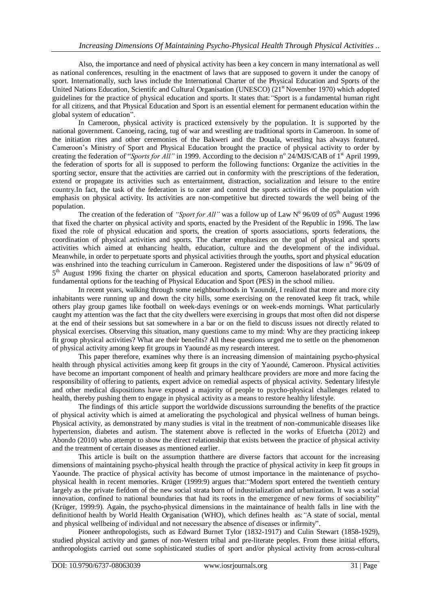Also, the importance and need of physical activity has been a key concern in many international as well as national conferences, resulting in the enactment of laws that are supposed to govern it under the canopy of sport. Internationally, such laws include the International Charter of the Physical Education and Sports of the United Nations Education, Scientifc and Cultural Organisation (UNESCO) (21<sup>st</sup> November 1970) which adopted guidelines for the practice of physical education and sports. It states that:*"*Sport is a fundamental human right for all citizens, and that Physical Education and Sport is an essential element for permanent education within the global system of education".

In Cameroon, physical activity is practiced extensively by the population. It is supported by the national government. Canoeing, racing, tug of war and wrestling are traditional sports in Cameroon. In some of the initiation rites and other ceremonies of the Bakweri and the Douala, wrestling has always featured. Cameroon's Ministry of Sport and Physical Education brought the practice of physical activity to order by creating the federation of "*Sports for All*" in 1999. According to the decision n<sup>o</sup> 24/MJS/CAB of 1<sup>st</sup> April 1999, the federation of sports for all is supposed to perform the following functions: Organize the activities in the sporting sector, ensure that the activities are carried out in conformity with the prescriptions of the federation, extend or propagate its activities such as entertainment, distraction, socialization and leisure to the entire country.In fact, the task of the federation is to cater and control the sports activities of the population with emphasis on physical activity. Its activities are non-competitive but directed towards the well being of the population.

The creation of the federation of *"Sport for All"* was a follow up of Law N° 96/09 of 05<sup>th</sup> August 1996 that fixed the charter on physical activity and sports, enacted by the President of the Republic in 1996. The law fixed the role of physical education and sports, the creation of sports associations, sports federations, the coordination of physical activities and sports. The charter emphasizes on the goal of physical and sports activities which aimed at enhancing health, education, culture and the development of the individual. Meanwhile, in order to perpetuate sports and physical activities through the youths, sport and physical education was enshrined into the teaching curriculum in Cameroon. Registered under the dispositions of law nº 96/09 of 5<sup>th</sup> August 1996 fixing the charter on physical education and sports, Cameroon haselaborated priority and fundamental options for the teaching of Physical Education and Sport (PES) in the school milieu.

In recent years, walking through some neighbourhoods in Yaoundé, I realized that more and more city inhabitants were running up and down the city hills, some exercising on the renovated keep fit track, while others play group games like football on week-days evenings or on week-ends mornings. What particularly caught my attention was the fact that the city dwellers were exercising in groups that most often did not disperse at the end of their sessions but sat somewhere in a bar or on the field to discuss issues not directly related to physical exercises. Observing this situation, many questions came to my mind: Why are they practicing inkeep fit group physical activities? What are their benefits? All these questions urged me to settle on the phenomenon of physical activity among keep fit groups in Yaoundé as my research interest.

This paper therefore, examines why there is an increasing dimension of maintaining psycho-physical health through physical activities among keep fit groups in the city of Yaoundé, Cameroon. Physical activities have become an important component of health and primary healthcare providers are more and more facing the responsibility of offering to patients, expert advice on remedial aspects of physical activity. Sedentary lifestyle and other medical dispositions have exposed a majority of people to psycho-physical challenges related to health, thereby pushing them to engage in physical activity as a means to restore healthy lifestyle.

The findings of this article support the worldwide discussions surrounding the benefits of the practice of physical activity which is aimed at ameliorating the psychological and physical wellness of human beings. Physical activity, as demonstrated by many studies is vital in the treatment of non-communicable diseases like hypertension, diabetes and autism. The statement above is reflected in the works of Efuetcha (2012) and Abondo (2010) who attempt to show the direct relationship that exists between the practice of physical activity and the treatment of certain diseases as mentioned earlier.

This article is built on the assumption thatthere are diverse factors that account for the increasing dimensions of maintaining psycho-physical health through the practice of physical activity in keep fit groups in Yaounde. The practice of physical activity has become of utmost importance in the maintenance of psychophysical health in recent memories. Krüger (1999:9) argues that:"Modern sport entered the twentieth century largely as the private fiefdom of the new social strata born of industrialization and urbanization. It was a social innovation, confined to national boundaries that had its roots in the emergence of new forms of sociability" (Krüger, 1999:9). Again, the psycho-physical dimensions in the maintainance of health falls in line with the definitionof health by World Health Organisation (WHO), which defines health as:*"*A state of social, mental and physical wellbeing of individual and not necessary the absence of diseases or infirmity".

Pioneer anthropologists, such as Edward Burnet Tylor (1832-1917) and Culin Stewart (1858-1929), studied physical activity and games of non-Western tribal and pre-literate peoples. From these initial efforts, anthropologists carried out some sophisticated studies of sport and/or physical activity from across-cultural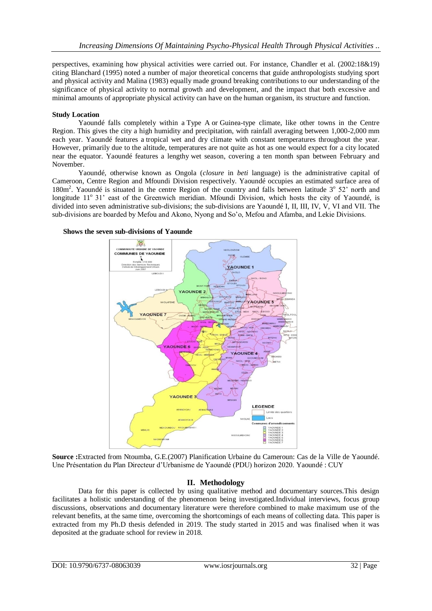perspectives, examining how physical activities were carried out. For instance, Chandler et al. (2002:18&19) citing Blanchard (1995) noted a number of major theoretical concerns that guide anthropologists studying sport and physical activity and Malina (1983) equally made ground breaking contributions to our understanding of the significance of physical activity to normal growth and development, and the impact that both excessive and minimal amounts of appropriate physical activity can have on the human organism, its structure and function.

# **Study Location**

Yaoundé falls completely within a Type A or Guinea-type climate, like other towns in the Centre Region. This gives the city a high humidity and precipitation, with rainfall averaging between 1,000-2,000 mm each year. Yaoundé features a tropical wet and dry climate with constant temperatures throughout the year. However, primarily due to the altitude, temperatures are not quite as hot as one would expect for a city located near the equator. Yaoundé features a lengthy wet season, covering a ten month span between February and November.

Yaoundé, otherwise known as Ongola (*closure* in *beti* language) is the administrative capital of Cameroon, Centre Region and Mfoundi Division respectively. Yaoundé occupies an estimated surface area of 180m<sup>2</sup>. Yaoundé is situated in the centre Region of the country and falls between latitude 3° 52' north and longitude 11<sup>°</sup> 31' east of the Greenwich meridian. Mfoundi Division, which hosts the city of Yaoundé, is divided into seven administrative sub-divisions; the sub-divisions are Yaoundé I, II, III, IV, V, VI and VII. The sub-divisions are boarded by Mefou and Akono, Nyong and So'o, Mefou and Afamba, and Lekie Divisions.

#### **Shows the seven sub-divisions of Yaounde**



**Source :**Extracted from Ntoumba, G.E.(2007) Planification Urbaine du Cameroun: Cas de la Ville de Yaoundé. Une Présentation du Plan Directeur d'Urbanisme de Yaoundé (PDU) horizon 2020. Yaoundé : CUY

# **II. Methodology**

Data for this paper is collected by using qualitative method and documentary sources.This design facilitates a holistic understanding of the phenomenon being investigated.Individual interviews, focus group discussions, observations and documentary literature were therefore combined to make maximum use of the relevant benefits, at the same time, overcoming the shortcomings of each means of collecting data. This paper is extracted from my Ph.D thesis defended in 2019. The study started in 2015 and was finalised when it was deposited at the graduate school for review in 2018.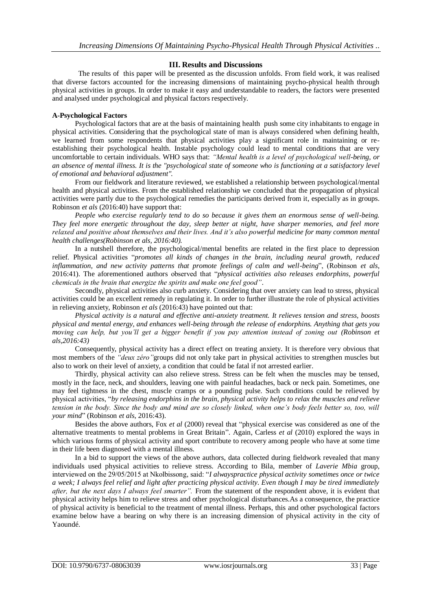# **III. Results and Discussions**

The results of this paper will be presented as the discussion unfolds. From field work, it was realised that diverse factors accounted for the increasing dimensions of maintaining psycho-physical health through physical activities in groups. In order to make it easy and understandable to readers, the factors were presented and analysed under psychological and physical factors respectively.

# **A-Psychological Factors**

Psychological factors that are at the basis of maintaining health push some city inhabitants to engage in physical activities. Considering that the psychological state of man is always considered when defining health, we learned from some respondents that physical activities play a significant role in maintaining or reestablishing their psychological health. Instable psychology could lead to mental conditions that are very uncomfortable to certain individuals. WHO says that: *"Mental health is a level of psychological well-being, or an absence of mental illness. It is the "psychological state of someone who is functioning at a satisfactory level of emotional and behavioral adjustment".*

From our fieldwork and literature reviewed, we established a relationship between psychological/mental health and physical activities. From the established relationship we concluded that the propagation of physical activities were partly due to the psychological remedies the participants derived from it, especially as in groups. Robinson *et als* (2016:40) have support that:

*People who exercise regularly tend to do so because it gives them an enormous sense of well-being. They feel more energetic throughout the day, sleep better at night, have sharper memories, and feel more relaxed and positive about themselves and their lives. And it's also powerful medicine for many common mental health challenges(Robinson et als, 2016:40).*

In a nutshell therefore, the psychological/mental benefits are related in the first place to depression relief. Physical activities "*promotes all kinds of changes in the brain, including neural growth, reduced inflammation, and new activity patterns that promote feelings of calm and well-being*", (Robinson *et als*, 2016:41). The aforementioned authors observed that "*physical activities also releases endorphins, powerful chemicals in the brain that energize the spirits and make one feel good"*.

Secondly, physical activities also curb anxiety. Considering that over anxiety can lead to stress, physical activities could be an excellent remedy in regulating it. In order to further illustrate the role of physical activities in relieving anxiety, Robinson *et als* (2016:43) have pointed out that:

*Physical activity is a natural and effective anti-anxiety treatment. It relieves tension and stress, boosts physical and mental energy, and enhances well-being through the release of endorphins. Anything that gets you moving can help, but you'll get a bigger benefit if you pay attention instead of zoning out (Robinson et als,2016:43)*

Consequently, physical activity has a direct effect on treating anxiety. It is therefore very obvious that most members of the *"deux zéro"*groups did not only take part in physical activities to strengthen muscles but also to work on their level of anxiety, a condition that could be fatal if not arrested earlier.

Thirdly, physical activity can also relieve stress. Stress can be felt when the muscles may be tensed, mostly in the face, neck, and shoulders, leaving one with painful headaches, back or neck pain. Sometimes, one may feel tightness in the chest, muscle cramps or a pounding pulse. Such conditions could be relieved by physical activities, "*by releasing endorphins in the brain, physical activity helps to relax the muscles and relieve tension in the body. Since the body and mind are so closely linked, when one's body feels better so, too, will your mind*" (Robinson *et als*, 2016:43).

Besides the above authors, Fox *et al* (2000) reveal that "physical exercise was considered as one of the alternative treatments to mental problems in Great Britain". Again, Carless *et al* (2010) explored the ways in which various forms of physical activity and sport contribute to recovery among people who have at some time in their life been diagnosed with a mental illness.

In a bid to support the views of the above authors, data collected during fieldwork revealed that many individuals used physical activities to relieve stress. According to Bila, member of *Laverie Mbia* group, interviewed on the 29/05/2015 at Nkolbissong, said: "*I alwayspractice physical activity sometimes once or twice a week; I always feel relief and light after practicing physical activity. Even though I may be tired immediately after, but the next days I always feel smarter".* From the statement of the respondent above, it is evident that physical activity helps him to relieve stress and other psychological disturbances.As a consequence, the practice of physical activity is beneficial to the treatment of mental illness. Perhaps, this and other psychological factors examine below have a bearing on why there is an increasing dimension of physical activity in the city of Yaoundé.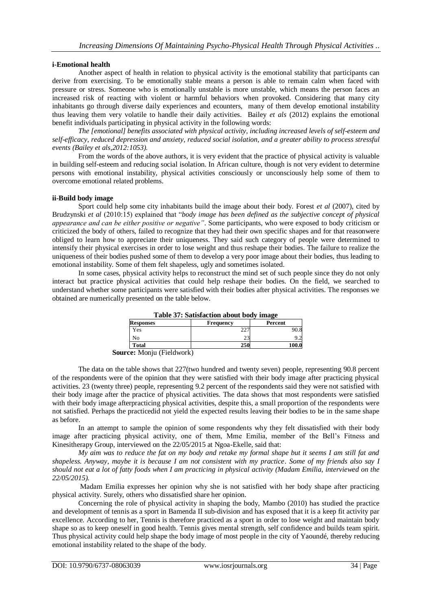#### **i-Emotional health**

Another aspect of health in relation to physical activity is the emotional stability that participants can derive from exercising. To be emotionally stable means a person is able to remain calm when faced with pressure or stress. Someone who is emotionally unstable is more unstable, which means the person faces an increased risk of reacting with violent or harmful behaviors when provoked. Considering that many city inhabitants go through diverse daily experiences and ecounters, many of them develop emotional instability thus leaving them very volatile to handle their daily activities. Bailey *et als* (2012) explains the emotional benefit individuals participating in physical activity in the following words:

*The [emotional] benefits associated with physical activity, including increased levels of self-esteem and self-efficacy, reduced depression and anxiety, reduced social isolation, and a greater ability to process stressful events (Bailey et als,2012:1053).*

From the words of the above authors, it is very evident that the practice of physical activity is valuable in building self-esteem and reducing social isolation. In African culture, though is not very evident to determine persons with emotional instability, physical activities consciously or unconsciously help some of them to overcome emotional related problems.

#### **ii-Build body image**

Sport could help some city inhabitants build the image about their body. Forest *et al* (2007), cited by Brudzynski *et al* (2010:15) explained that "*body image has been defined as the subjective concept of physical appearance and can be either positive or negative"*. Some participants, who were exposed to body criticism or criticized the body of others, failed to recognize that they had their own specific shapes and for that reasonwere obliged to learn how to appreciate their uniqueness. They said such category of people were determined to intensify their physical exercises in order to lose weight and thus reshape their bodies. The failure to realize the uniqueness of their bodies pushed some of them to develop a very poor image about their bodies, thus leading to emotional instability. Some of them felt shapeless, ugly and sometimes isolated.

In some cases, physical activity helps to reconstruct the mind set of such people since they do not only interact but practice physical activities that could help reshape their bodies. On the field, we searched to understand whether some participants were satisfied with their bodies after physical activities. The responses we obtained are numerically presented on the table below.

| Table 5/: Satisfaction about body image |         |
|-----------------------------------------|---------|
| <b>Frequency</b>                        | Percent |
|                                         | 90.8    |
| 23                                      |         |
| 250                                     | 100.0   |
|                                         |         |

**Table 37: Satisfaction about body image**

The data on the table shows that 227(two hundred and twenty seven) people, representing 90.8 percent of the respondents were of the opinion that they were satisfied with their body image after practicing physical activities. 23 (twenty three) people, representing 9.2 percent of the respondents said they were not satisfied with their body image after the practice of physical activities. The data shows that most respondents were satisfied with their body image afterpracticing physical activities, despite this, a small proportion of the respondents were not satisfied. Perhaps the practicedid not yield the expected results leaving their bodies to be in the same shape as before.

In an attempt to sample the opinion of some respondents why they felt dissatisfied with their body image after practicing physical activity, one of them, Mme Emilia, member of the Bell's Fitness and Kinesitherapy Group, interviewed on the 22/05/2015 at Ngoa-Ekelle, said that:

*My aim was to reduce the fat on my body and retake my formal shape but it seems I am still fat and shapeless. Anyway, maybe it is because I am not consistent with my practice. Some of my friends also say I should not eat a lot of fatty foods when I am practicing in physical activity (Madam Emilia, interviewed on the 22/05/2015).*

Madam Emilia expresses her opinion why she is not satisfied with her body shape after practicing physical activity. Surely, others who dissatisfied share her opinion.

Concerning the role of physical activity in shaping the body, Mambo (2010) has studied the practice and development of tennis as a sport in Bamenda II sub-division and has exposed that it is a keep fit activity par excellence. According to her, Tennis is therefore practiced as a sport in order to lose weight and maintain body shape so as to keep oneself in good health. Tennis gives mental strength, self confidence and builds team spirit. Thus physical activity could help shape the body image of most people in the city of Yaoundé, thereby reducing emotional instability related to the shape of the body.

**Source:** Monju (Fieldwork)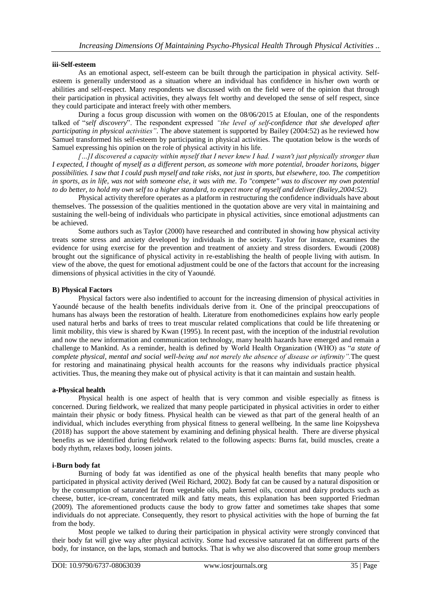#### **iii-Self-esteem**

As an emotional aspect, self-esteem can be built through the participation in physical activity. Selfesteem is generally understood as a situation where an individual has confidence in his/her own worth or abilities and self-respect. Many respondents we discussed with on the field were of the opinion that through their participation in physical activities, they always felt worthy and developed the sense of self respect, since they could participate and interact freely with other members.

During a focus group discussion with women on the 08/06/2015 at Efoulan, one of the respondents talked of "*self discovery*". The respondent expressed *"the level of self-confidence that she developed after participating in physical activities"*. The above statement is supported by Bailey (2004:52) as he reviewed how Samuel transformed his self-esteem by participating in physical activities. The quotation below is the words of Samuel expressing his opinion on the role of physical activity in his life.

*[…]I discovered a capacity within myself that I never knew I had. I wasn't just physically stronger than I expected, I thought of myself as a different person, as someone with more potential, broader horizons, bigger possibilities. I saw that I could push myself and take risks, not just in sports, but elsewhere, too. The [competition](https://www.psychologytoday.com/basics/sport-and-competition) in sports, as in life, was not with someone else, it was with me. To "compete" was to discover my own potential to do better, to hold my own self to a higher standard, to expect more of myself and deliver (Bailey,2004:52).*

Physical activity therefore operates as a platform in restructuring the confidence individuals have about themselves. The possession of the qualities mentioned in the quotation above are very vital in maintaining and sustaining the well-being of individuals who participate in physical activities, since emotional adjustments can be achieved.

Some authors such as Taylor (2000) have researched and contributed in showing how physical activity treats some stress and anxiety developed by individuals in the society. Taylor for instance, examines the evidence for using exercise for the prevention and treatment of anxiety and stress disorders. Ewoudi (2008) brought out the significance of physical activity in re-establishing the health of people living with autism. In view of the above, the quest for emotional adjustment could be one of the factors that account for the increasing dimensions of physical activities in the city of Yaoundé.

#### **B) Physical Factors**

Physical factors were also indentified to account for the increasing dimension of physical activities in Yaoundé because of the health benefits individuals derive from it. One of the principal preoccupations of humans has always been the restoration of health. Literature from enothomedicines explains how early people used natural herbs and barks of trees to treat muscular related complications that could be life threatening or limit mobility, this view is shared by Kwan (1995). In recent past, with the inception of the industrial revolution and now the new information and communication technology, many health hazards have emerged and remain a challenge to Mankind. As a reminder, health is defined by World Health Organization (WHO) as "*a state of complete physical, mental and social well-being and not merely the absence of disease or infirmity".*The quest for restoring and mainatinaing physical health accounts for the reasons why individuals practice physical activities. Thus, the meaning they make out of physical activity is that it can maintain and sustain health.

#### **a-Physical health**

Physical health is one aspect of health that is very common and visible especially as fitness is concerned. During fieldwork, we realized that many people participated in physical activities in order to either maintain their physic or body fitness. Physical health can be viewed as that part of the general health of an individual, which includes everything from physical fitness to general wellbeing. In the same line Koipysheva (2018) has support the above statement by examining and defining physical health. There are diverse physical benefits as we identified during fieldwork related to the following aspects: Burns fat, build muscles, create a body rhythm, relaxes body, loosen joints.

#### **i-Burn body fat**

Burning of body fat was identified as one of the physical health benefits that many people who participated in physical activity derived (Weil Richard, 2002). Body fat can be caused by a natural disposition or by the consumption of saturated fat from vegetable oils, palm kernel oils, coconut and dairy products such as cheese, butter, ice-cream, concentrated milk and fatty meats, this explanation has been supported Friedman (2009). The aforementioned products cause the body to grow fatter and sometimes take shapes that some individuals do not appreciate. Consequently, they resort to physical activities with the hope of burning the fat from the body.

Most people we talked to during their participation in physical activity were strongly convinced that their body fat will give way after physical activity. Some had excessive saturated fat on different parts of the body, for instance, on the laps, stomach and buttocks. That is why we also discovered that some group members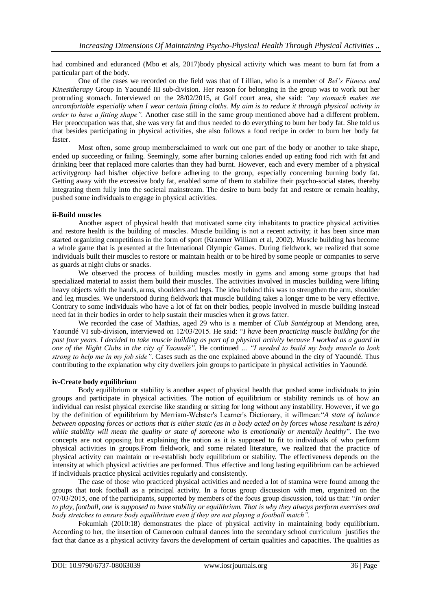had combined and eduranced (Mbo et als, 2017)body physical activity which was meant to burn fat from a particular part of the body.

One of the cases we recorded on the field was that of Lillian, who is a member of *Bel's Fitness and Kinesitherapy* Group in Yaoundé III sub-division. Her reason for belonging in the group was to work out her protruding stomach. Interviewed on the 28/02/2015, at Golf court area, she said: *"my stomach makes me uncomfortable especially when I wear certain fitting cloths. My aim is to reduce it through physical activity in order to have a fitting shape".* Another case still in the same group mentioned above had a different problem. Her preoccupation was that, she was very fat and thus needed to do everything to burn her body fat. She told us that besides participating in physical activities, she also follows a food recipe in order to burn her body fat faster.

Most often, some group membersclaimed to work out one part of the body or another to take shape, ended up succeeding or failing. Seemingly, some after burning calories ended up eating food rich with fat and drinking beer that replaced more calories than they had burnt. However, each and every member of a physical activitygroup had his/her objective before adhering to the group, especially concerning burning body fat. Getting away with the excessive body fat, enabled some of them to stabilize their psycho-social states, thereby integrating them fully into the societal mainstream. The desire to burn body fat and restore or remain healthy, pushed some individuals to engage in physical activities.

# **ii-Build muscles**

Another aspect of physical health that motivated some city inhabitants to practice physical activities and restore health is the building of muscles. Muscle building is not a recent activity; it has been since man started organizing competitions in the form of sport (Kraemer William et al, 2002). Muscle building has become a whole game that is presented at the International Olympic Games. During fieldwork, we realized that some individuals built their muscles to restore or maintain health or to be hired by some people or companies to serve as guards at night clubs or snacks.

We observed the process of building muscles mostly in gyms and among some groups that had specialized material to assist them build their muscles. The activities involved in muscles building were lifting heavy objects with the hands, arms, shoulders and legs. The idea behind this was to strengthen the arm, shoulder and leg muscles. We understood during fieldwork that muscle building takes a longer time to be very effective. Contrary to some individuals who have a lot of fat on their bodies, people involved in muscle building instead need fat in their bodies in order to help sustain their muscles when it grows fatter.

We recorded the case of Mathias, aged 29 who is a member of *Club Santé*group at Mendong area, Yaoundé VI sub-division, interviewed on 12/03/2015. He said: "*I have been practicing muscle building for the past four years. I decided to take muscle building as part of a physical activity because I worked as a guard in one of the Night Clubs in the city of Yaoundé"*. He continued ... *"I needed to build my body muscle to look strong to help me in my job side"*. Cases such as the one explained above abound in the city of Yaoundé. Thus contributing to the explanation why city dwellers join groups to participate in physical activities in Yaoundé.

# **iv-Create body equilibrium**

Body equilibrium or stability is another aspect of physical health that pushed some individuals to join groups and participate in physical activities. The notion of equilibrium or stability reminds us of how an individual can resist physical exercise like standing or sitting for long without any instability. However, if we go by the definition of equilibrium by Merriam-Webster's Learner's Dictionary, it willmean:"*A state of balance between opposing forces or actions that is either static (as in a body acted on by forces whose resultant is zéro) while stability will mean the quality or state of someone who is emotionally or mentally healthy*". The two concepts are not opposing but explaining the notion as it is supposed to fit to individuals of who perform physical activities in groups.From fieldwork, and some related literature, we realized that the practice of physical activity can maintain or re-establish body equilibrium or stability. The effectiveness depends on the intensity at which physical activities are performed. Thus effective and long lasting equilibrium can be achieved if individuals practice physical activities regularly and consistently.

The case of those who practiced physical activities and needed a lot of stamina were found among the groups that took football as a principal activity. In a focus group discussion with men, organized on the 07/03/2015, one of the participants, supported by members of the focus group discussion, told us that: "*In order to play, football, one is supposed to have stability or equilibrium. That is why they always perform exercises and body stretches to ensure body equilibrium even if they are not playing a football match".* 

Fokumlah (2010:18) demonstrates the place of physical activity in maintaining body equilibrium. According to her, the insertion of Cameroon cultural dances into the secondary school curriculum justifies the fact that dance as a physical activity favors the development of certain qualities and capacities. The qualities as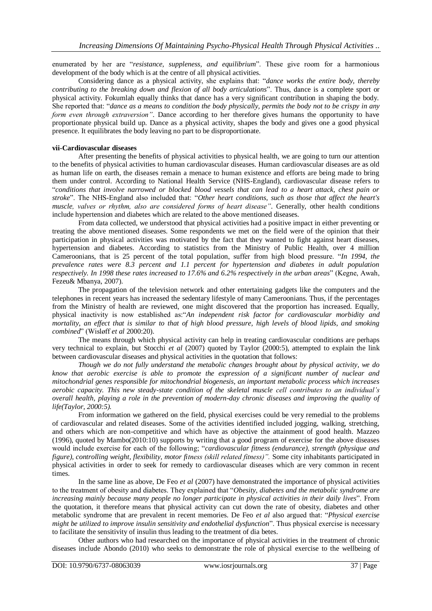enumerated by her are "*resistance, suppleness, and equilibrium*". These give room for a harmonious development of the body which is at the centre of all physical activities.

Considering dance as a physical activity, she explains that: "*dance works the entire body, thereby contributing to the breaking down and flexion of all body articulations*". Thus, dance is a complete sport or physical activity. Fokumlah equally thinks that dance has a very significant contribution in shaping the body. She reported that: "*dance as a means to condition the body physically, permits the body not to be crispy in any form even through extraversion"*. Dance according to her therefore gives humans the opportunity to have proportionate physical build up. Dance as a physical activity, shapes the body and gives one a good physical presence. It equilibrates the body leaving no part to be disproportionate.

#### **vii-Cardiovascular diseases**

After presenting the benefits of physical activities to physical health, we are going to turn our attention to the benefits of physical activities to human cardiovascular diseases. Human cardiovascular diseases are as old as human life on earth, the diseases remain a menace to human existence and efforts are being made to bring them under control. According to National Health Service (NHS-England), cardiovascular disease refers to "*conditions that involve narrowed or blocked blood vessels that can lead to a heart attack, chest pain or stroke*". The NHS-England also included that: "*Other heart conditions, such as those that affect the heart's muscle, valves or rhythm, also are considered forms of heart disease"*. Generally, other health conditions include hypertension and diabetes which are related to the above mentioned diseases.

From data collected, we understood that physical activities had a positive impact in either preventing or treating the above mentioned diseases. Some respondents we met on the field were of the opinion that their participation in physical activities was motivated by the fact that they wanted to fight against heart diseases, hypertension and diabetes. According to statistics from the Ministry of Public Health, over 4 million Cameroonians, that is 25 percent of the total population, suffer from high blood pressure. "*In 1994, the prevalence rates were 8.3 percent and 1.1 percent for hypertension and diabetes in adult population respectively. In 1998 these rates increased to 17.6% and 6.2% respectively in the urban areas*" (Kegne, Awah, Fezeu& Mbanya, 2007).

The propagation of the television network and other entertaining gadgets like the computers and the telephones in recent years has increased the sedentary lifestyle of many Cameroonians. Thus, if the percentages from the Ministry of health are reviewed, one might discovered that the proportion has increased. Equally, physical inactivity is now established as:"*An independent risk factor for cardiovascular morbidity and mortality, an effect that is similar to that of high blood pressure, high levels of blood lipids, and smoking combined*" (Wisløff *et al* 2000:20).

The means through which physical activity can help in treating cardiovascular conditions are perhaps very technical to explain, but Stocchi *et al* (2007) quoted by Taylor (2000:5), attempted to explain the link between cardiovascular diseases and physical activities in the quotation that follows:

*Though we do not fully understand the metabolic changes brought about by physical activity, we do know that aerobic exercise is able to promote the expression of a significant number of nuclear and mitochondrial genes responsible for mitochondrial biogenesis, an important metabolic process which increases aerobic capacity. This new steady-state condition of the skeletal muscle cell contributes to an individual's overall health, playing a role in the prevention of modern-day chronic diseases and improving the quality of life(Taylor, 2000:5).*

From information we gathered on the field, physical exercises could be very remedial to the problems of cardiovascular and related diseases. Some of the activities identified included jogging, walking, stretching, and others which are non-competitive and which have as objective the attainment of good health. Mazzeo (1996), quoted by Mambo(2010:10) supports by writing that a good program of exercise for the above diseases would include exercise for each of the following; "*cardiovascular fitness (endurance), strength (physique and figure), controlling weight, flexibility, motor fitness (skill related fitness)".* Some city inhabitants participated in physical activities in order to seek for remedy to cardiovascular diseases which are very common in recent times.

In the same line as above, De Feo *et al* (2007) have demonstrated the importance of physical activities to the treatment of obesity and diabetes. They explained that "*Obesity, diabetes and the metabolic syndrome are increasing mainly because many people no longer participate in physical activities in their daily lives*". From the quotation, it therefore means that physical activity can cut down the rate of obesity, diabetes and other metabolic syndrome that are prevalent in recent memories. De Feo *et al* also argued that: "*Physical exercise might be utilized to improve insulin sensitivity and endothelial dysfunction*". Thus physical exercise is necessary to facilitate the sensitivity of insulin thus leading to the treatment of dia betes.

Other authors who had researched on the importance of physical activities in the treatment of chronic diseases include Abondo (2010) who seeks to demonstrate the role of physical exercise to the wellbeing of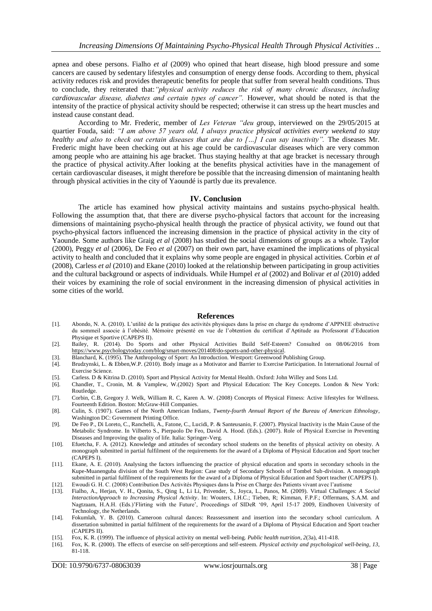apnea and obese persons. Fialho *et al* (2009) who opined that heart disease, high blood pressure and some cancers are caused by sedentary lifestyles and consumption of energy dense foods. According to them, physical activity reduces risk and provides therapeutic benefits for people that suffer from several health conditions. Thus to conclude, they reiterated that:*"physical activity reduces the risk of many chronic diseases, including cardiovascular disease, diabetes and certain types of cancer".* However, what should be noted is that the intensity of the practice of physical activity should be respected; otherwise it can stress up the heart muscles and instead cause constant dead.

According to Mr. Frederic, member of *Les Veteran "deu g*roup, interviewed on the 29/05/2015 at quartier Fouda, said: *"I am above 57 years old, I always practice physical activities every weekend to stay healthy and also to check out certain diseases that are due to […] I can say inactivity".* The diseases Mr. Frederic might have been checking out at his age could be cardiovascular diseases which are very common among people who are attaining his age bracket. Thus staying healthy at that age bracket is necessary through the practice of physical activity.After looking at the benefits physical activities have in the management of certain cardiovascular diseases, it might therefore be possible that the increasing dimension of maintaning health through physical activities in the city of Yaoundé is partly due its prevalence.

#### **IV. Conclusion**

The article has examined how physical activity maintains and sustains psycho-physical health. Following the assumption that, that there are diverse psycho-physical factors that account for the increasing dimensions of maintaining psycho-physical health through the practice of physical activity, we found out that psycho-physical factors influenced the increasing dimension in the practice of physical activity in the city of Yaounde. Some authors like Graig *et al* (2008) has studied the social dimensions of groups as a whole. Taylor (2000), Peggy *et al* (2006), De Feo *et al* (2007) on their own part, have examined the implications of physical activity to health and concluded that it explains why some people are engaged in physical activities. Corbin *et al*  (2008), Carless *et al* (2010) and Ekane (2010) looked at the relationship between participating in group activities and the cultural background or aspects of individuals. While Humpel *et al* (2002) and Bolivar *et al* (2010) added their voices by examining the role of social environment in the increasing dimension of physical activities in some cities of the world.

#### **References**

- [1]. Abondo, N. A. (2010). L'utilité de la pratique des activités physiques dans la prise en charge du syndrome d'APPNEE obstructive du sommeil associe à l'obésité. Mémoire présenté en vue de l'obtention du certificat d'Aptitude au Professorat d'Education Physique et Sportive (CAPEPS II).
- [2]. Bailey, R. (2014). Do Sports and other Physical Activities Build Self-Esteem? Consulted on 08/06/2016 from [https://www.psychologytoday.com/blog/smart-moves/201408/do-sports-and-other-physical.](https://www.psychologytoday.com/blog/smart-moves/201408/do-sports-and-other-physical-activities-build-self-esteem)
- 
- [3]. Blanchard, K. (1995). The Anthropology of Sport: An Introduction. Westport: Greenwood Publishing Group. [4]. Brudzynski, L. & Ebben, W.P. (2010). Body image as a Motivator and Barrier to Exercise Participation. In I [4]. Brudzynski, L. & Ebben,W.P. (2010). Body image as a Motivator and Barrier to Exercise Participation. In International Journal of Exercise Science.
- [5]. Carless. D & Kitrina D. (2010). Sport and Physical Activity for Mental Health. Oxford: John Willey and Sons Ltd.
- [6]. Chandler, T., Cronin, M. & Vamplew, W.(2002) Sport and Physical Education: The Key Concepts. London & New York: Routledge.
- [7]. Corbin, C.B, Gregory J. Welk, William R. C, Karen A. W. (2008) Concepts of Physical Fitness: Active lifestyles for Wellness. Fourteenth Edition. Boston: McGraw-Hill Companies.
- [8]. Culin, S. (1907). Games of the North American Indians*, Twenty-fourth Annual Report of the Bureau of American Ethnology*, Washington DC: Government Printing Office.
- [9]. De Feo P., Di Loreto, C., Ranchelli, A., Fatone, C., Lucidi, P. & Santeusanio, F. (2007). Physical Inactivity is the Main Cause of the Metabolic Syndrome. In Vilberto S., Pierpaolo De Feo, David A. Hood. (Eds.). (2007). Role of Physical Exercise in Preventing Diseases and Improving the quality of life. Italia: Springer-Verg.
- [10]. Efuetcha, F. A. (2012). Knowledge and attitudes of secondary school students on the benefits of physical activity on obesity. A monograph submitted in partial fulfilment of the requirements for the award of a Diploma of Physical Education and Sport teacher (CAPEPS I).
- [11]. Ekane, A. E. (2010). Analysing the factors influencing the practice of physical education and sports in secondary schools in the Kupe-Muanenguba division of the South West Region: Case study of Secondary Schools of Tombel Sub-division. A monograph submitted in partial fulfilment of the requirements for the award of a Diploma of Physical Education and Sport teacher (CAPEPS I).
- [12]. Ewoudi G. H. C. (2008) Contribution Des Activités Physiques dans la Prise en Charge des Patients vivant avec l'autisme
- [13]. Fialho, A., Herjan, V. H., Qonita, S., Qing L, Li Li, Privender, S., Joyca, L., Panos, M. (2009). Virtual Challenges: *A Social InteractionApproach to Increasing Physical Activity*. In: Wouters, I.H.C.; Tieben, R; Kimman, F.P.F.; Offermans, S.A.M. and Nagtzaam, H.A.H. (Eds.)'Flirting with the Future', Proceedings of SIDeR '09, April 15-17 2009, Eindhoven University of Technology, the Netherlands.
- [14]. Fokumlah, Y. B. (2010). Cameroon cultural dances: Reassessment and insertion into the secondary school curriculum. A dissertation submitted in partial fulfilment of the requirements for the award of a Diploma of Physical Education and Sport teacher (CAPEPS II).
- [15]. Fox, K. R. (1999). The influence of physical activity on mental well-being. *Public health nutrition*, *2*(3a), 411-418.
- [16]. Fox, K. R. (2000). The effects of exercise on self-perceptions and self-esteem. *Physical activity and psychological well-being*, *13*, 81-118.